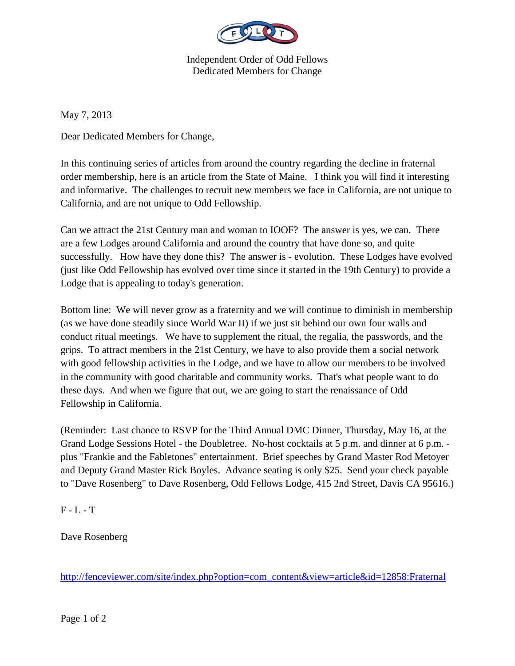

Independent Order of Odd Fellows Dedicated Members for Change

May 7, 2013

Dear Dedicated Members for Change,

In this continuing series of articles from around the country regarding the decline in fraternal order membership, here is an article from the State of Maine. I think you will find it interesting and informative. The challenges to recruit new members we face in California, are not unique to California, and are not unique to Odd Fellowship.

Can we attract the 21st Century man and woman to IOOF? The answer is yes, we can. There are a few Lodges around California and around the country that have done so, and quite successfully. How have they done this? The answer is - evolution. These Lodges have evolved (just like Odd Fellowship has evolved over time since it started in the 19th Century) to provide a Lodge that is appealing to today's generation.

Bottom line: We will never grow as a fraternity and we will continue to diminish in membership (as we have done steadily since World War II) if we just sit behind our own four walls and conduct ritual meetings. We have to supplement the ritual, the regalia, the passwords, and the grips. To attract members in the 21st Century, we have to also provide them a social network with good fellowship activities in the Lodge, and we have to allow our members to be involved in the community with good charitable and community works. That's what people want to do these days. And when we figure that out, we are going to start the renaissance of Odd Fellowship in California.

(Reminder: Last chance to RSVP for the Third Annual DMC Dinner, Thursday, May 16, at the Grand Lodge Sessions Hotel - the Doubletree. No-host cocktails at 5 p.m. and dinner at 6 p.m. plus "Frankie and the Fabletones" entertainment. Brief speeches by Grand Master Rod Metoyer and Deputy Grand Master Rick Boyles. Advance seating is only \$25. Send your check payable to "Dave Rosenberg" to Dave Rosenberg, Odd Fellows Lodge, 415 2nd Street, Davis CA 95616.)

 $F - L - T$ 

Dave Rosenberg

http://fenceviewer.com/site/index.php?option=com\_content&view=article&id=12858:Fraternal